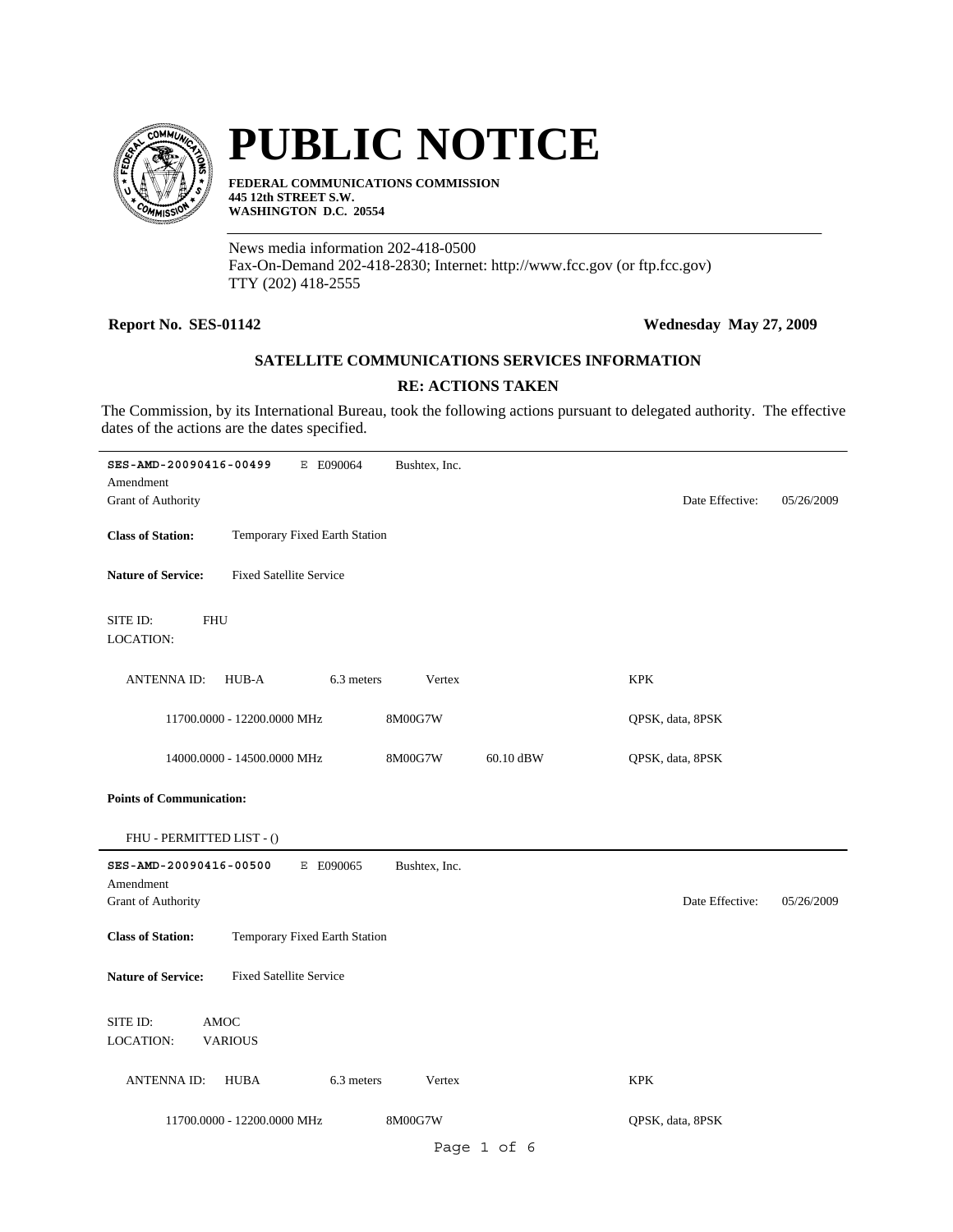

# **PUBLIC NOTICE**

**FEDERAL COMMUNICATIONS COMMISSION 445 12th STREET S.W. WASHINGTON D.C. 20554**

News media information 202-418-0500 Fax-On-Demand 202-418-2830; Internet: http://www.fcc.gov (or ftp.fcc.gov) TTY (202) 418-2555

#### **Report No. SES-01142 Wednesday May 27, 2009**

### **SATELLITE COMMUNICATIONS SERVICES INFORMATION**

#### **RE: ACTIONS TAKEN**

The Commission, by its International Bureau, took the following actions pursuant to delegated authority. The effective dates of the actions are the dates specified.

| SES-AMD-20090416-00499              | E E090064                      | Bushtex, Inc. |           |                  |            |  |  |
|-------------------------------------|--------------------------------|---------------|-----------|------------------|------------|--|--|
| Amendment<br>Grant of Authority     |                                |               |           | Date Effective:  | 05/26/2009 |  |  |
| <b>Class of Station:</b>            | Temporary Fixed Earth Station  |               |           |                  |            |  |  |
| <b>Nature of Service:</b>           | <b>Fixed Satellite Service</b> |               |           |                  |            |  |  |
| SITE ID:<br><b>FHU</b><br>LOCATION: |                                |               |           |                  |            |  |  |
| <b>ANTENNAID:</b>                   | HUB-A<br>6.3 meters            | Vertex        |           | <b>KPK</b>       |            |  |  |
|                                     | 11700.0000 - 12200.0000 MHz    | 8M00G7W       |           | QPSK, data, 8PSK |            |  |  |
|                                     | 14000.0000 - 14500.0000 MHz    | 8M00G7W       | 60.10 dBW | QPSK, data, 8PSK |            |  |  |
| <b>Points of Communication:</b>     |                                |               |           |                  |            |  |  |
| FHU - PERMITTED LIST - ()           |                                |               |           |                  |            |  |  |
| SES-AMD-20090416-00500<br>Amendment | E E090065                      | Bushtex, Inc. |           |                  |            |  |  |
| Grant of Authority                  |                                |               |           | Date Effective:  | 05/26/2009 |  |  |
| <b>Class of Station:</b>            | Temporary Fixed Earth Station  |               |           |                  |            |  |  |
| <b>Nature of Service:</b>           | <b>Fixed Satellite Service</b> |               |           |                  |            |  |  |
| SITE ID:<br><b>AMOC</b>             |                                |               |           |                  |            |  |  |
| <b>VARIOUS</b><br>LOCATION:         |                                |               |           |                  |            |  |  |
| <b>ANTENNA ID:</b>                  | HUBA<br>6.3 meters             | Vertex        |           | <b>KPK</b>       |            |  |  |
|                                     | 11700.0000 - 12200.0000 MHz    | 8M00G7W       |           | QPSK, data, 8PSK |            |  |  |
|                                     |                                |               | $D = 1$   |                  |            |  |  |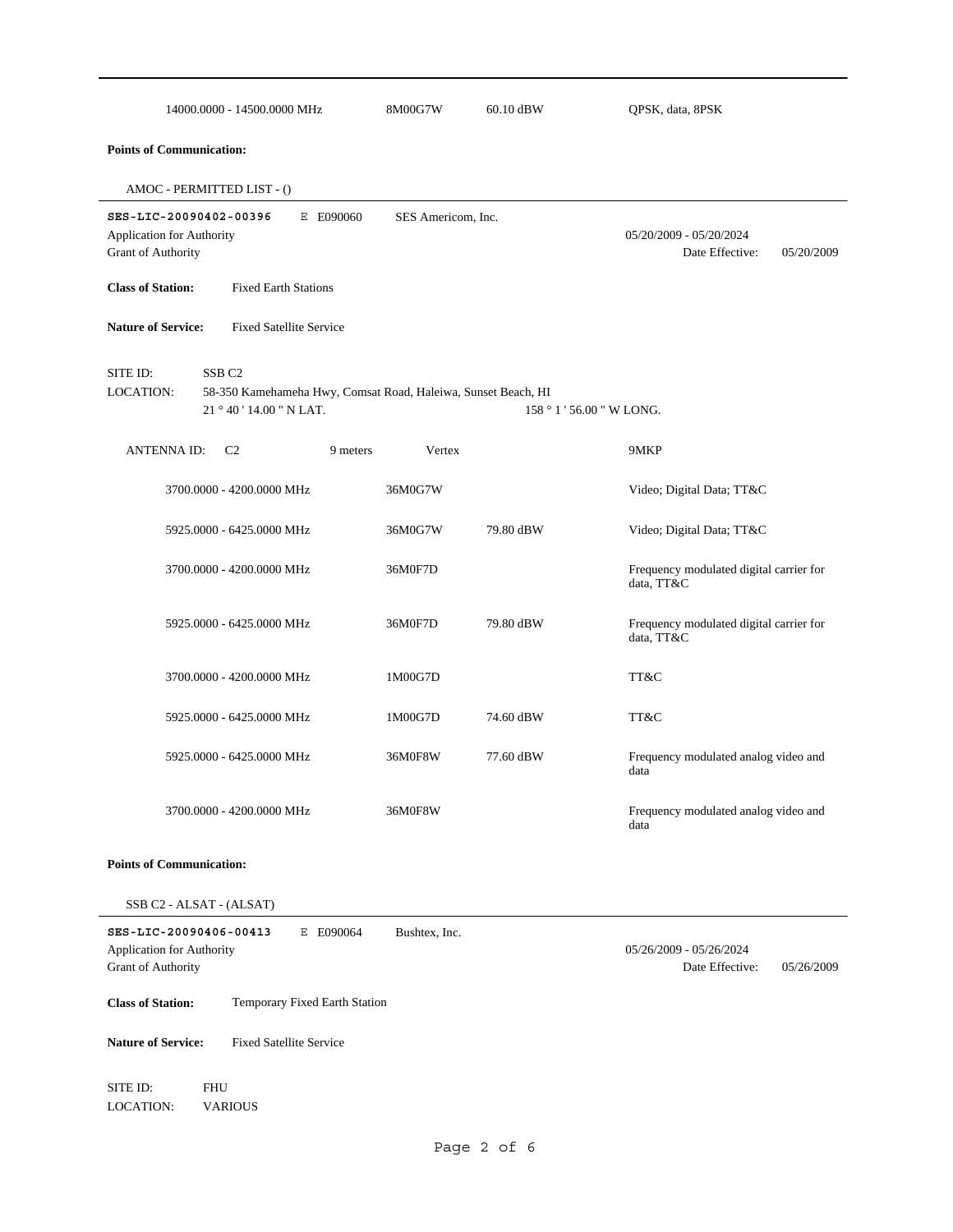| 14000.0000 - 14500.0000 MHz                                                      |                                                                                                                | 8M00G7W            | 60.10 dBW | QPSK, data, 8PSK                                         |
|----------------------------------------------------------------------------------|----------------------------------------------------------------------------------------------------------------|--------------------|-----------|----------------------------------------------------------|
| <b>Points of Communication:</b>                                                  |                                                                                                                |                    |           |                                                          |
| AMOC - PERMITTED LIST - ()                                                       |                                                                                                                |                    |           |                                                          |
| SES-LIC-20090402-00396<br>Application for Authority<br><b>Grant of Authority</b> | E E090060                                                                                                      | SES Americom, Inc. |           | 05/20/2009 - 05/20/2024<br>Date Effective:<br>05/20/2009 |
| <b>Class of Station:</b>                                                         | <b>Fixed Earth Stations</b>                                                                                    |                    |           |                                                          |
| <b>Nature of Service:</b>                                                        | <b>Fixed Satellite Service</b>                                                                                 |                    |           |                                                          |
| SITE ID:<br>LOCATION:                                                            | SSB <sub>C2</sub><br>58-350 Kamehameha Hwy, Comsat Road, Haleiwa, Sunset Beach, HI<br>21 ° 40 ' 14.00 " N LAT. |                    |           | 158 ° 1 ' 56.00 " W LONG.                                |
| <b>ANTENNAID:</b>                                                                | 9 meters<br>C <sub>2</sub>                                                                                     | Vertex             |           | 9MKP                                                     |
|                                                                                  | 3700.0000 - 4200.0000 MHz                                                                                      | 36M0G7W            |           | Video; Digital Data; TT&C                                |
|                                                                                  | 5925.0000 - 6425.0000 MHz                                                                                      | 36M0G7W            | 79.80 dBW | Video; Digital Data; TT&C                                |
|                                                                                  | 3700.0000 - 4200.0000 MHz                                                                                      | 36M0F7D            |           | Frequency modulated digital carrier for<br>data, TT&C    |
|                                                                                  | 5925.0000 - 6425.0000 MHz                                                                                      | 36M0F7D            | 79.80 dBW | Frequency modulated digital carrier for<br>data, TT&C    |
|                                                                                  | 3700.0000 - 4200.0000 MHz                                                                                      | 1M00G7D            |           | TT&C                                                     |
|                                                                                  | 5925.0000 - 6425.0000 MHz                                                                                      | 1M00G7D            | 74.60 dBW | TT&C                                                     |
|                                                                                  | 5925.0000 - 6425.0000 MHz                                                                                      | 36M0F8W            | 77.60 dBW | Frequency modulated analog video and<br>data             |
|                                                                                  | 3700.0000 - 4200.0000 MHz                                                                                      | 36M0F8W            |           | Frequency modulated analog video and<br>data             |
| <b>Points of Communication:</b>                                                  |                                                                                                                |                    |           |                                                          |
| SSB C2 - ALSAT - (ALSAT)                                                         |                                                                                                                |                    |           |                                                          |
| SES-LIC-20090406-00413<br>Application for Authority<br>Grant of Authority        | E E090064                                                                                                      | Bushtex, Inc.      |           | 05/26/2009 - 05/26/2024<br>Date Effective:<br>05/26/2009 |
| <b>Class of Station:</b>                                                         | Temporary Fixed Earth Station                                                                                  |                    |           |                                                          |
| <b>Nature of Service:</b>                                                        | <b>Fixed Satellite Service</b>                                                                                 |                    |           |                                                          |
| SITE ID:<br>LOCATION:                                                            | <b>FHU</b><br><b>VARIOUS</b>                                                                                   |                    |           |                                                          |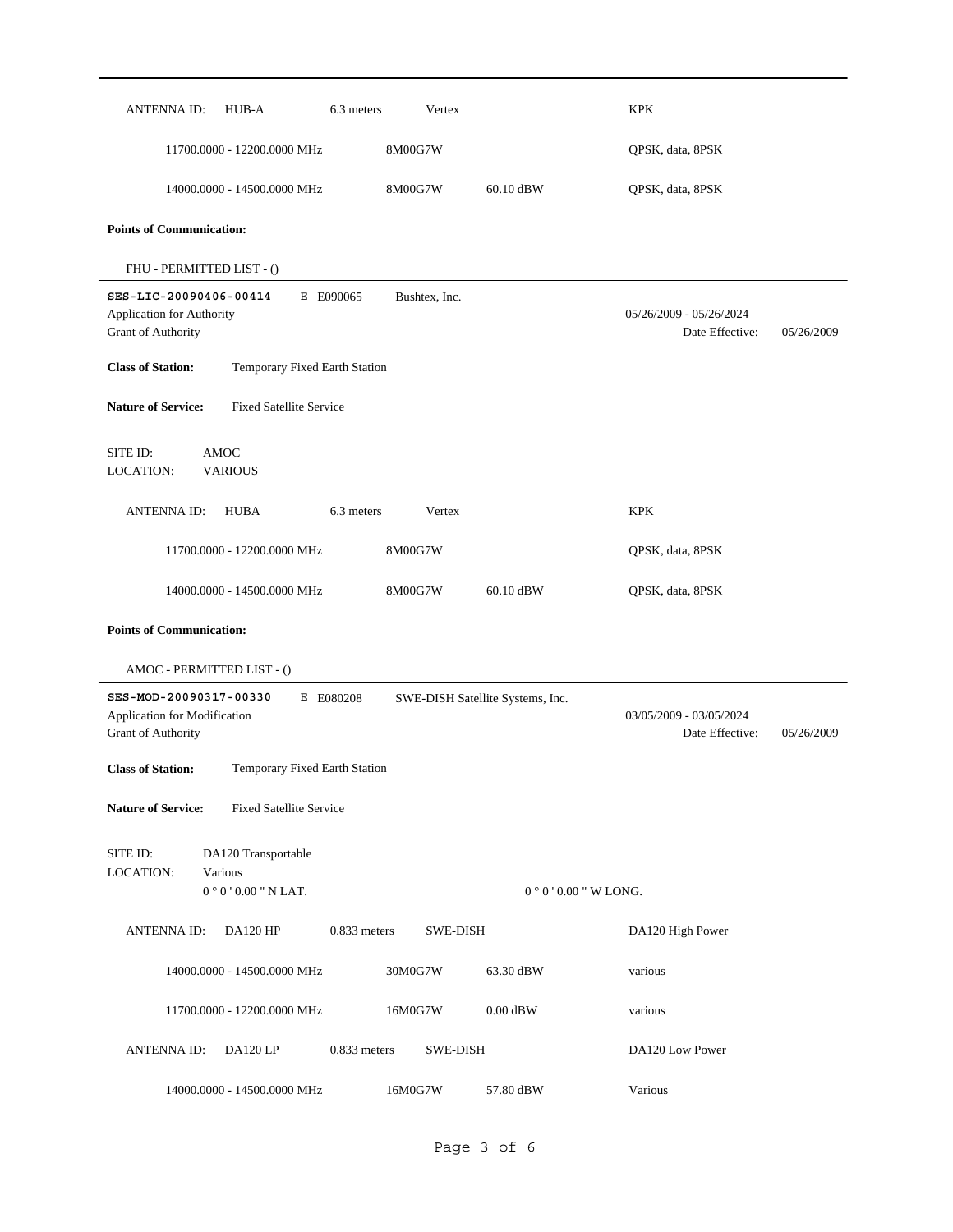| <b>ANTENNAID:</b>                                                            | HUB-A                                                | 6.3 meters     | Vertex          |                                  | <b>KPK</b>                                 |            |
|------------------------------------------------------------------------------|------------------------------------------------------|----------------|-----------------|----------------------------------|--------------------------------------------|------------|
|                                                                              | 11700.0000 - 12200.0000 MHz                          |                | 8M00G7W         |                                  | QPSK, data, 8PSK                           |            |
|                                                                              | 14000.0000 - 14500.0000 MHz                          |                | 8M00G7W         | 60.10 dBW                        | QPSK, data, 8PSK                           |            |
| <b>Points of Communication:</b>                                              |                                                      |                |                 |                                  |                                            |            |
| FHU - PERMITTED LIST - ()                                                    |                                                      |                |                 |                                  |                                            |            |
| SES-LIC-20090406-00414<br>Application for Authority<br>Grant of Authority    |                                                      | E E090065      | Bushtex, Inc.   |                                  | 05/26/2009 - 05/26/2024<br>Date Effective: | 05/26/2009 |
| <b>Class of Station:</b>                                                     | Temporary Fixed Earth Station                        |                |                 |                                  |                                            |            |
| <b>Nature of Service:</b>                                                    | <b>Fixed Satellite Service</b>                       |                |                 |                                  |                                            |            |
| SITE ID:<br><b>LOCATION:</b>                                                 | <b>AMOC</b><br><b>VARIOUS</b>                        |                |                 |                                  |                                            |            |
| <b>ANTENNAID:</b>                                                            | <b>HUBA</b>                                          | 6.3 meters     | Vertex          |                                  | <b>KPK</b>                                 |            |
|                                                                              | 11700.0000 - 12200.0000 MHz                          |                | 8M00G7W         |                                  | QPSK, data, 8PSK                           |            |
|                                                                              | 14000.0000 - 14500.0000 MHz                          |                | 8M00G7W         | 60.10 dBW                        | QPSK, data, 8PSK                           |            |
| <b>Points of Communication:</b>                                              |                                                      |                |                 |                                  |                                            |            |
| AMOC - PERMITTED LIST - ()                                                   |                                                      |                |                 |                                  |                                            |            |
| SES-MOD-20090317-00330<br>Application for Modification<br>Grant of Authority |                                                      | E E080208      |                 | SWE-DISH Satellite Systems, Inc. | 03/05/2009 - 03/05/2024<br>Date Effective: | 05/26/2009 |
| <b>Class of Station:</b>                                                     | Temporary Fixed Earth Station                        |                |                 |                                  |                                            |            |
| <b>Nature of Service:</b>                                                    | <b>Fixed Satellite Service</b>                       |                |                 |                                  |                                            |            |
| SITE ID:<br><b>LOCATION:</b>                                                 | DA120 Transportable<br>Various<br>$0°0'0.00"$ N LAT. |                |                 | $0°0'0.00''$ W LONG.             |                                            |            |
| <b>ANTENNAID:</b>                                                            | <b>DA120 HP</b>                                      | $0.833$ meters | SWE-DISH        |                                  | DA120 High Power                           |            |
|                                                                              | 14000.0000 - 14500.0000 MHz                          |                | 30M0G7W         | 63.30 dBW                        | various                                    |            |
|                                                                              | 11700.0000 - 12200.0000 MHz                          |                | 16M0G7W         | $0.00$ dBW                       | various                                    |            |
| <b>ANTENNA ID:</b>                                                           | DA120LP                                              | $0.833$ meters | <b>SWE-DISH</b> |                                  | DA120 Low Power                            |            |
|                                                                              | 14000.0000 - 14500.0000 MHz                          |                | 16M0G7W         | 57.80 dBW                        | Various                                    |            |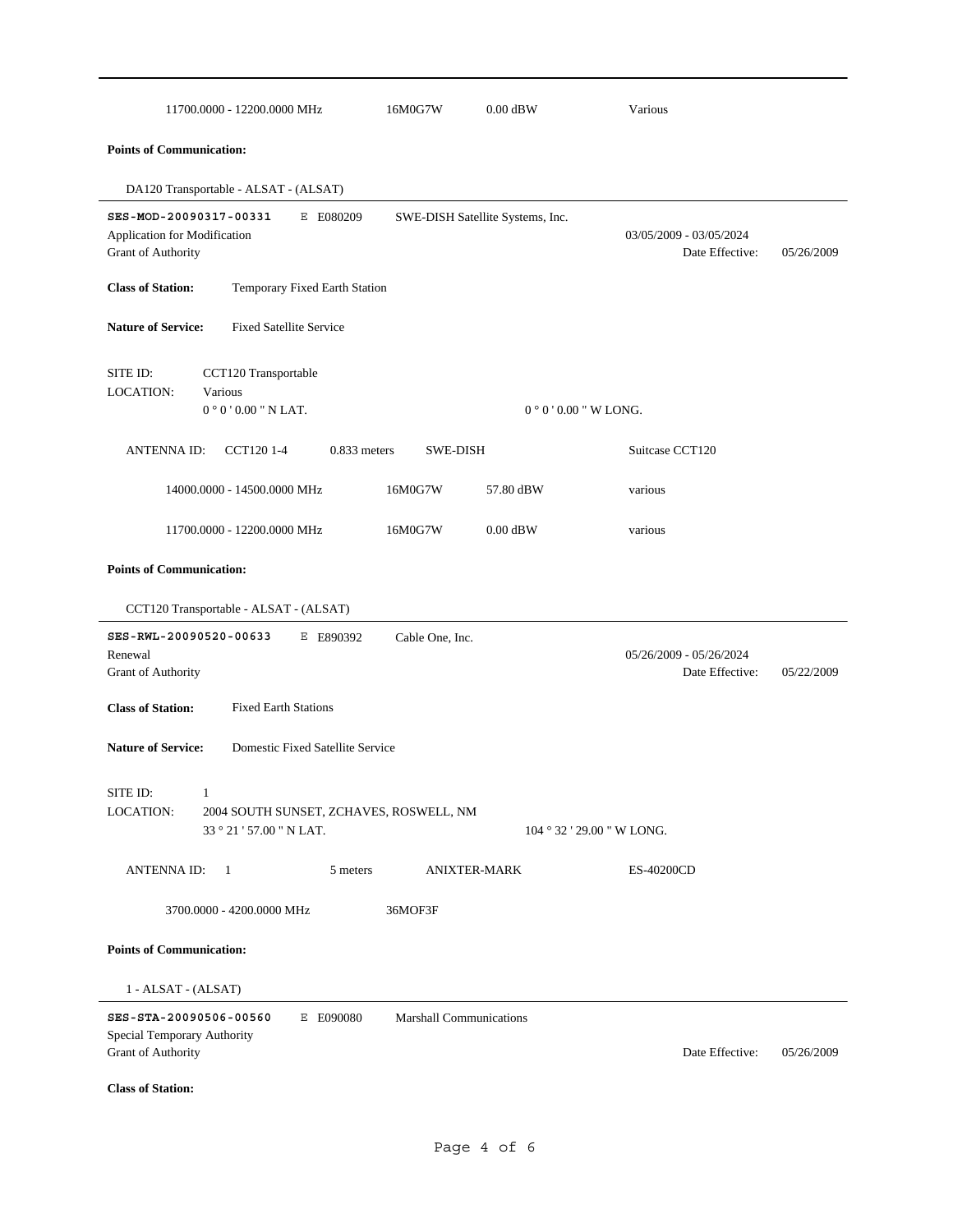| 11700.0000 - 12200.0000 MHz                                                                                                          | 16M0G7W                        | $0.00$ dBW                       | Various                                    |            |  |  |  |
|--------------------------------------------------------------------------------------------------------------------------------------|--------------------------------|----------------------------------|--------------------------------------------|------------|--|--|--|
| <b>Points of Communication:</b>                                                                                                      |                                |                                  |                                            |            |  |  |  |
| DA120 Transportable - ALSAT - (ALSAT)                                                                                                |                                |                                  |                                            |            |  |  |  |
| SES-MOD-20090317-00331<br>E E080209<br>Application for Modification<br>Grant of Authority                                            |                                | SWE-DISH Satellite Systems, Inc. | 03/05/2009 - 03/05/2024<br>Date Effective: | 05/26/2009 |  |  |  |
| <b>Class of Station:</b><br>Temporary Fixed Earth Station                                                                            |                                |                                  |                                            |            |  |  |  |
| <b>Fixed Satellite Service</b><br><b>Nature of Service:</b>                                                                          |                                |                                  |                                            |            |  |  |  |
| CCT120 Transportable<br>SITE ID:<br><b>LOCATION:</b><br>Various                                                                      |                                |                                  |                                            |            |  |  |  |
| $0°0'0.00"$ N LAT.                                                                                                                   |                                |                                  | $0°0'0.00''$ W LONG.                       |            |  |  |  |
| <b>ANTENNAID:</b><br>CCT120 1-4<br>$0.833$ meters                                                                                    | <b>SWE-DISH</b>                |                                  | Suitcase CCT120                            |            |  |  |  |
| 14000.0000 - 14500.0000 MHz                                                                                                          | 16M0G7W                        | 57.80 dBW                        | various                                    |            |  |  |  |
| 11700.0000 - 12200.0000 MHz                                                                                                          | 16M0G7W                        | $0.00$ dBW                       | various                                    |            |  |  |  |
| <b>Points of Communication:</b>                                                                                                      |                                |                                  |                                            |            |  |  |  |
| CCT120 Transportable - ALSAT - (ALSAT)                                                                                               |                                |                                  |                                            |            |  |  |  |
| SES-RWL-20090520-00633<br>E E890392<br>Renewal<br>Grant of Authority                                                                 | Cable One, Inc.                |                                  | 05/26/2009 - 05/26/2024<br>Date Effective: | 05/22/2009 |  |  |  |
| <b>Class of Station:</b><br><b>Fixed Earth Stations</b>                                                                              |                                |                                  |                                            |            |  |  |  |
| <b>Nature of Service:</b><br>Domestic Fixed Satellite Service                                                                        |                                |                                  |                                            |            |  |  |  |
| SITE ID:<br>$\sim$ 1<br>LOCATION:<br>2004 SOUTH SUNSET, ZCHAVES, ROSWELL, NM<br>33 ° 21 ' 57.00 " N LAT.<br>$104°32'29.00''$ W LONG. |                                |                                  |                                            |            |  |  |  |
| <b>ANTENNAID:</b><br>$\overline{1}$<br>5 meters                                                                                      |                                | <b>ANIXTER-MARK</b>              | ES-40200CD                                 |            |  |  |  |
| 3700.0000 - 4200.0000 MHz                                                                                                            | 36MOF3F                        |                                  |                                            |            |  |  |  |
| <b>Points of Communication:</b>                                                                                                      |                                |                                  |                                            |            |  |  |  |
| 1 - ALSAT - (ALSAT)                                                                                                                  |                                |                                  |                                            |            |  |  |  |
| SES-STA-20090506-00560<br>E E090080<br>Special Temporary Authority<br><b>Grant of Authority</b>                                      | <b>Marshall Communications</b> |                                  | Date Effective:                            | 05/26/2009 |  |  |  |
| <b>Class of Station:</b>                                                                                                             |                                |                                  |                                            |            |  |  |  |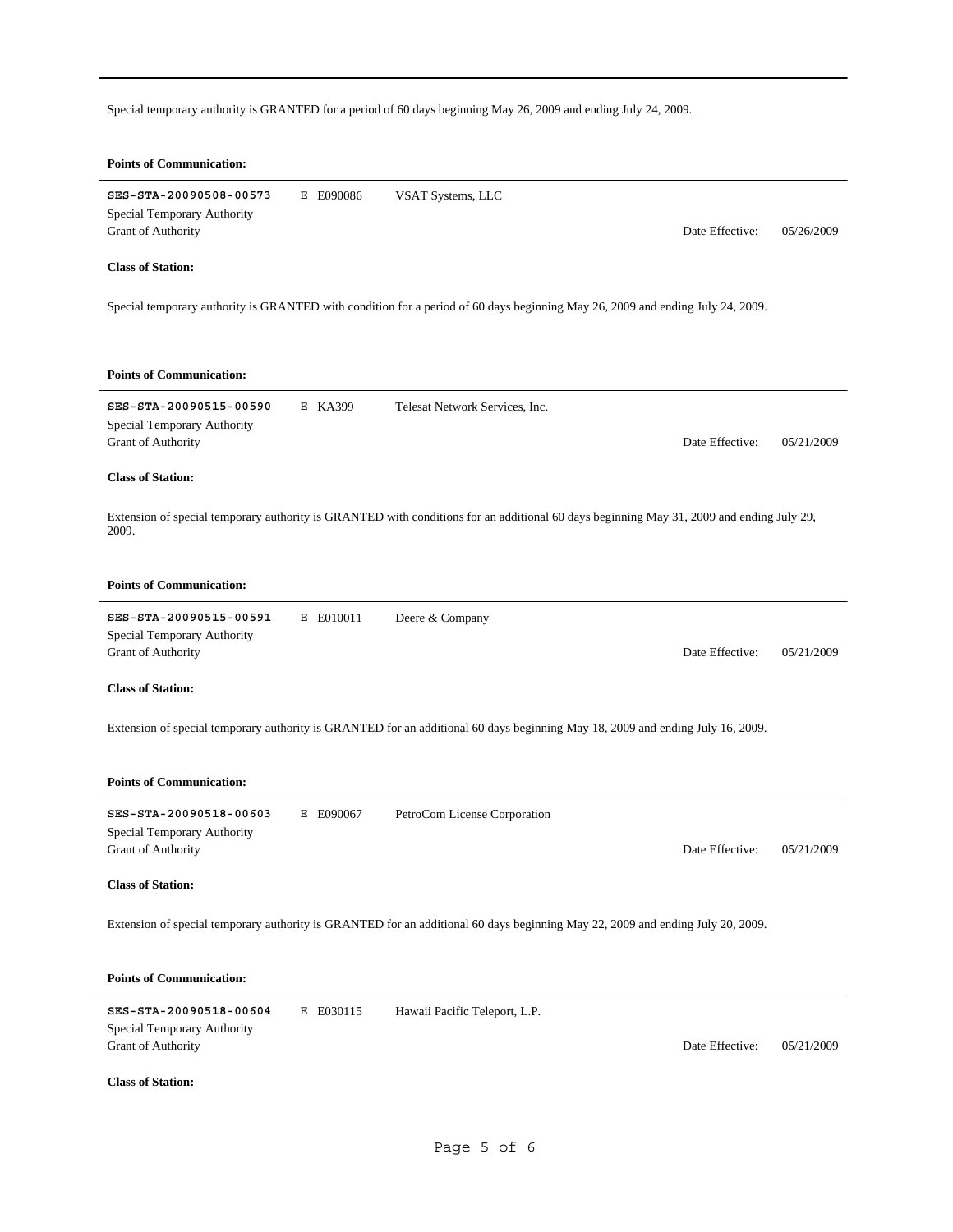Special temporary authority is GRANTED for a period of 60 days beginning May 26, 2009 and ending July 24, 2009.

## **Points of Communication: SES-STA-20090508-00573** E E090086 Date Effective: 05/26/2009 **Class of Station:** Grant of Authority Special Temporary Authority VSAT Systems, LLC Special temporary authority is GRANTED with condition for a period of 60 days beginning May 26, 2009 and ending July 24, 2009. **Points of Communication: SES-STA-20090515-00590** E KA399 Date Effective: 05/21/2009 **Class of Station:** Grant of Authority Special Temporary Authority Telesat Network Services, Inc. Extension of special temporary authority is GRANTED with conditions for an additional 60 days beginning May 31, 2009 and ending July 29, 2009. **Points of Communication: SES-STA-20090515-00591** E E010011 Date Effective: 05/21/2009 **Class of Station:** Grant of Authority Special Temporary Authority Deere & Company Extension of special temporary authority is GRANTED for an additional 60 days beginning May 18, 2009 and ending July 16, 2009. **Points of Communication: SES-STA-20090518-00603** E E090067 Date Effective: 05/21/2009 **Class of Station:** Grant of Authority Special Temporary Authority PetroCom License Corporation Extension of special temporary authority is GRANTED for an additional 60 days beginning May 22, 2009 and ending July 20, 2009. **Points of Communication: SES-STA-20090518-00604** E E030115 Date Effective: 05/21/2009 **Class of Station:** Grant of Authority Special Temporary Authority Hawaii Pacific Teleport, L.P.